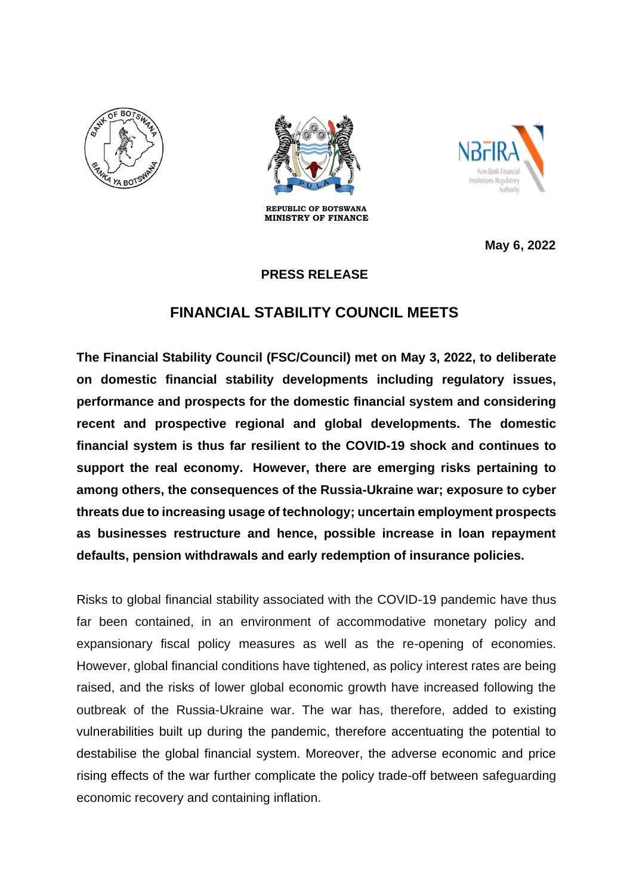





**REPUBLIC OF BOTSWANA MINISTRY OF FINANCE** 

 **May 6, 2022**

## **PRESS RELEASE**

## **FINANCIAL STABILITY COUNCIL MEETS**

**The Financial Stability Council (FSC/Council) met on May 3, 2022, to deliberate on domestic financial stability developments including regulatory issues, performance and prospects for the domestic financial system and considering recent and prospective regional and global developments. The domestic financial system is thus far resilient to the COVID-19 shock and continues to support the real economy. However, there are emerging risks pertaining to among others, the consequences of the Russia-Ukraine war; exposure to cyber threats due to increasing usage of technology; uncertain employment prospects as businesses restructure and hence, possible increase in loan repayment defaults, pension withdrawals and early redemption of insurance policies.**

Risks to global financial stability associated with the COVID-19 pandemic have thus far been contained, in an environment of accommodative monetary policy and expansionary fiscal policy measures as well as the re-opening of economies. However, global financial conditions have tightened, as policy interest rates are being raised, and the risks of lower global economic growth have increased following the outbreak of the Russia-Ukraine war. The war has, therefore, added to existing vulnerabilities built up during the pandemic, therefore accentuating the potential to destabilise the global financial system. Moreover, the adverse economic and price rising effects of the war further complicate the policy trade-off between safeguarding economic recovery and containing inflation.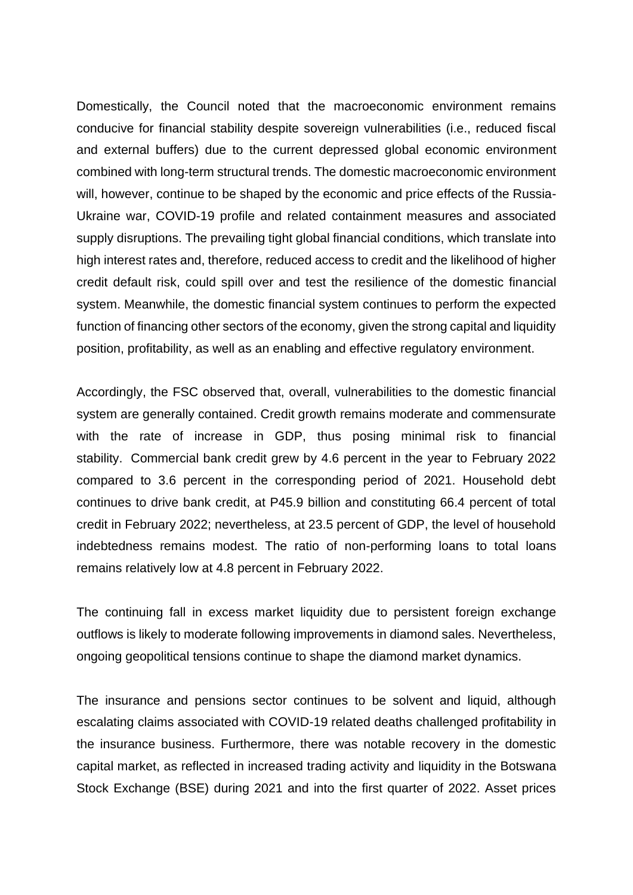Domestically, the Council noted that the macroeconomic environment remains conducive for financial stability despite sovereign vulnerabilities (i.e., reduced fiscal and external buffers) due to the current depressed global economic environment combined with long-term structural trends. The domestic macroeconomic environment will, however, continue to be shaped by the economic and price effects of the Russia-Ukraine war, COVID-19 profile and related containment measures and associated supply disruptions. The prevailing tight global financial conditions, which translate into high interest rates and, therefore, reduced access to credit and the likelihood of higher credit default risk, could spill over and test the resilience of the domestic financial system. Meanwhile, the domestic financial system continues to perform the expected function of financing other sectors of the economy, given the strong capital and liquidity position, profitability, as well as an enabling and effective regulatory environment.

Accordingly, the FSC observed that, overall, vulnerabilities to the domestic financial system are generally contained. Credit growth remains moderate and commensurate with the rate of increase in GDP, thus posing minimal risk to financial stability. Commercial bank credit grew by 4.6 percent in the year to February 2022 compared to 3.6 percent in the corresponding period of 2021. Household debt continues to drive bank credit, at P45.9 billion and constituting 66.4 percent of total credit in February 2022; nevertheless, at 23.5 percent of GDP, the level of household indebtedness remains modest. The ratio of non-performing loans to total loans remains relatively low at 4.8 percent in February 2022.

The continuing fall in excess market liquidity due to persistent foreign exchange outflows is likely to moderate following improvements in diamond sales. Nevertheless, ongoing geopolitical tensions continue to shape the diamond market dynamics.

The insurance and pensions sector continues to be solvent and liquid, although escalating claims associated with COVID-19 related deaths challenged profitability in the insurance business. Furthermore, there was notable recovery in the domestic capital market, as reflected in increased trading activity and liquidity in the Botswana Stock Exchange (BSE) during 2021 and into the first quarter of 2022. Asset prices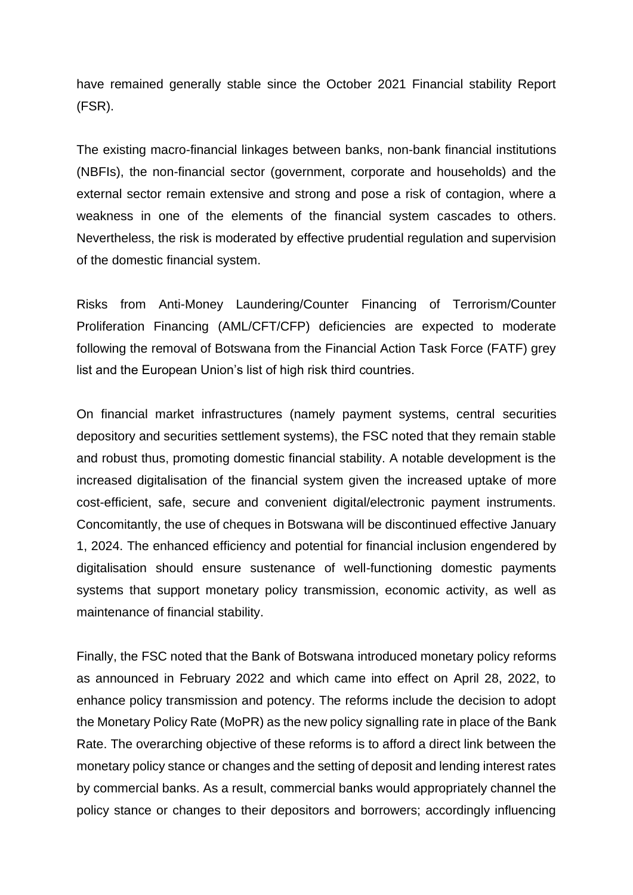have remained generally stable since the October 2021 Financial stability Report (FSR).

The existing macro-financial linkages between banks, non-bank financial institutions (NBFIs), the non-financial sector (government, corporate and households) and the external sector remain extensive and strong and pose a risk of contagion, where a weakness in one of the elements of the financial system cascades to others. Nevertheless, the risk is moderated by effective prudential regulation and supervision of the domestic financial system.

Risks from Anti-Money Laundering/Counter Financing of Terrorism/Counter Proliferation Financing (AML/CFT/CFP) deficiencies are expected to moderate following the removal of Botswana from the Financial Action Task Force (FATF) grey list and the European Union's list of high risk third countries.

On financial market infrastructures (namely payment systems, central securities depository and securities settlement systems), the FSC noted that they remain stable and robust thus, promoting domestic financial stability. A notable development is the increased digitalisation of the financial system given the increased uptake of more cost-efficient, safe, secure and convenient digital/electronic payment instruments. Concomitantly, the use of cheques in Botswana will be discontinued effective January 1, 2024. The enhanced efficiency and potential for financial inclusion engendered by digitalisation should ensure sustenance of well-functioning domestic payments systems that support monetary policy transmission, economic activity, as well as maintenance of financial stability.

Finally, the FSC noted that the Bank of Botswana introduced monetary policy reforms as announced in February 2022 and which came into effect on April 28, 2022, to enhance policy transmission and potency. The reforms include the decision to adopt the Monetary Policy Rate (MoPR) as the new policy signalling rate in place of the Bank Rate. The overarching objective of these reforms is to afford a direct link between the monetary policy stance or changes and the setting of deposit and lending interest rates by commercial banks. As a result, commercial banks would appropriately channel the policy stance or changes to their depositors and borrowers; accordingly influencing